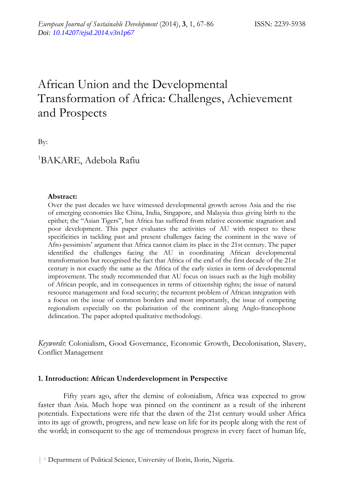# African Union and the Developmental Transformation of Africa: Challenges, Achievement and Prospects

By:

# 1 BAKARE, Adebola Rafiu

#### **Abstract:**

Over the past decades we have witnessed developmental growth across Asia and the rise of emerging economies like China, India, Singapore, and Malaysia thus giving birth to the epithet; the "Asian Tigers", but Africa has suffered from relative economic stagnation and poor development. This paper evaluates the activities of AU with respect to these specificities in tackling past and present challenges facing the continent in the wave of Afro-pessimists' argument that Africa cannot claim its place in the 21st century. The paper identified the challenges facing the AU in coordinating African developmental transformation but recognised the fact that Africa of the end of the first decade of the 21st century is not exactly the same as the Africa of the early sixties in term of developmental improvement. The study recommended that AU focus on issues such as the high mobility of African people, and its consequences in terms of citizenship rights; the issue of natural resource management and food security; the recurrent problem of African integration with a focus on the issue of common borders and most importantly, the issue of competing regionalism especially on the polarisation of the continent along Anglo-francophone delineation. The paper adopted qualitative methodology.

*Keywords*: Colonialism, Good Governance, Economic Growth, Decolonisation, Slavery, Conflict Management

## **1. Introduction: African Underdevelopment in Perspective**

Fifty years ago, after the demise of colonialism, Africa was expected to grow faster than Asia. Much hope was pinned on the continent as a result of the inherent potentials. Expectations were rife that the dawn of the 21st century would usher Africa into its age of growth, progress, and new lease on life for its people along with the rest of the world; in consequent to the age of tremendous progress in every facet of human life,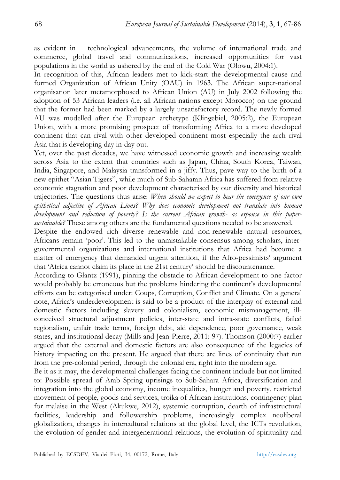as evident in technological advancements, the volume of international trade and commerce, global travel and communications, increased opportunities for vast populations in the world as ushered by the end of the Cold War (Olowu, 2004:1).

In recognition of this, African leaders met to kick-start the developmental cause and formed Organization of African Unity (OAU) in 1963. The African super-national organisation later metamorphosed to African Union (AU) in July 2002 following the adoption of 53 African leaders (i.e. all African nations except Morocco) on the ground that the former had been marked by a largely unsatisfactory record. The newly formed AU was modelled after the European archetype (Klingebiel, 2005:2), the European Union, with a more promising prospect of transforming Africa to a more developed continent that can rival with other developed continent most especially the arch rival Asia that is developing day in-day out.

Yet, over the past decades, we have witnessed economic growth and increasing wealth across Asia to the extent that countries such as Japan, China, South Korea, Taiwan, India, Singapore, and Malaysia transformed in a jiffy. Thus, pave way to the birth of a new epithet "Asian Tigers", while much of Sub-Saharan Africa has suffered from relative economic stagnation and poor development characterised by our diversity and historical trajectories. The questions thus arise: *When should we expect to hear the emergence of our own epithetical adjective of African Lions? Why does economic development not translate into human development and reduction of poverty? Is the current African growth- as espouse in this papersustainable?* These among others are the fundamental questions needed to be answered.

Despite the endowed rich diverse renewable and non-renewable natural resources, Africans remain 'poor'. This led to the unmistakable consensus among scholars, intergovernmental organizations and international institutions that Africa had become a matter of emergency that demanded urgent attention, if the Afro-pessimists' argument that 'Africa cannot claim its place in the 21st century' should be discountenance.

According to Glantz (1991), pinning the obstacle to African development to one factor would probably be erroneous but the problems hindering the continent's developmental efforts can be categorised under: Coups, Corruption, Conflict and Climate. On a general note, Africa's underdevelopment is said to be a product of the interplay of external and domestic factors including slavery and colonialism, economic mismanagement, illconceived structural adjustment policies, inter-state and intra-state conflicts, failed regionalism, unfair trade terms, foreign debt, aid dependence, poor governance, weak states, and institutional decay (Mills and Jean-Pierre, 2011: 97). Thomson (2000:7) earlier argued that the external and domestic factors are also consequence of the legacies of history impacting on the present. He argued that there are lines of continuity that run from the pre-colonial period, through the colonial era, right into the modern age.

Be it as it may, the developmental challenges facing the continent include but not limited to: Possible spread of Arab Spring uprisings to Sub-Sahara Africa, diversification and integration into the global economy, income inequalities, hunger and poverty, restricted movement of people, goods and services, troika of African institutions, contingency plan for malaise in the West (Akukwe, 2012), systemic corruption, dearth of infrastructural facilities, leadership and followership problems, increasingly complex neoliberal globalization, changes in intercultural relations at the global level, the ICTs revolution, the evolution of gender and intergenerational relations, the evolution of spirituality and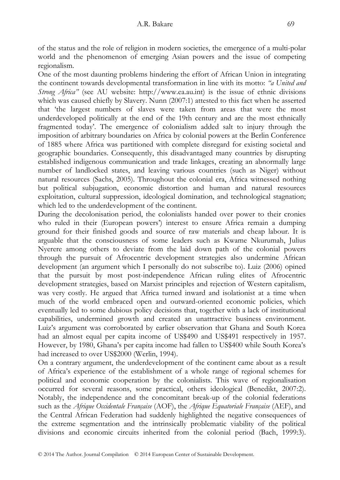of the status and the role of religion in modern societies, the emergence of a multi-polar world and the phenomenon of emerging Asian powers and the issue of competing regionalism.

One of the most daunting problems hindering the effort of African Union in integrating the continent towards developmental transformation in line with its motto: *"a United and Strong Africa"* (see AU website: http://www.ea.au.int) is the issue of ethnic divisions which was caused chiefly by Slavery. Nunn (2007:1) attested to this fact when he asserted that 'the largest numbers of slaves were taken from areas that were the most underdeveloped politically at the end of the 19th century and are the most ethnically fragmented today'. The emergence of colonialism added salt to injury through the imposition of arbitrary boundaries on Africa by colonial powers at the Berlin Conference of 1885 where Africa was partitioned with complete disregard for existing societal and geographic boundaries. Consequently, this disadvantaged many countries by disrupting established indigenous communication and trade linkages, creating an abnormally large number of landlocked states, and leaving various countries (such as Niger) without natural resources (Sachs, 2005). Throughout the colonial era, Africa witnessed nothing but political subjugation, economic distortion and human and natural resources exploitation, cultural suppression, ideological domination, and technological stagnation; which led to the underdevelopment of the continent.

During the decolonisation period, the colonialists handed over power to their cronies who ruled in their (European powers') interest to ensure Africa remain a dumping ground for their finished goods and source of raw materials and cheap labour. It is arguable that the consciousness of some leaders such as Kwame Nkurumah, Julius Nyerere among others to deviate from the laid down path of the colonial powers through the pursuit of Afrocentric development strategies also undermine African development (an argument which I personally do not subscribe to). Luiz (2006) opined that the pursuit by most post-independence African ruling elites of Afrocentric development strategies, based on Marxist principles and rejection of Western capitalism, was very costly. He argued that Africa turned inward and isolationist at a time when much of the world embraced open and outward-oriented economic policies, which eventually led to some dubious policy decisions that, together with a lack of institutional capabilities, undermined growth and created an unattractive business environment. Luiz's argument was corroborated by earlier observation that Ghana and South Korea had an almost equal per capita income of US\$490 and US\$491 respectively in 1957. However, by 1980, Ghana's per capita income had fallen to US\$400 while South Korea's had increased to over US\$2000 (Werlin, 1994).

On a contrary argument, the underdevelopment of the continent came about as a result of Africa's experience of the establishment of a whole range of regional schemes for political and economic cooperation by the colonialists. This wave of regionalisation occurred for several reasons, some practical, others ideological (Benedikt, 2007:2). Notably, the independence and the concomitant break-up of the colonial federations such as the *Afrique Occidentale Française* (AOF), the *Afrique Equatoriale Française* (AEF), and the Central African Federation had suddenly highlighted the negative consequences of the extreme segmentation and the intrinsically problematic viability of the political divisions and economic circuits inherited from the colonial period (Bach, 1999:3).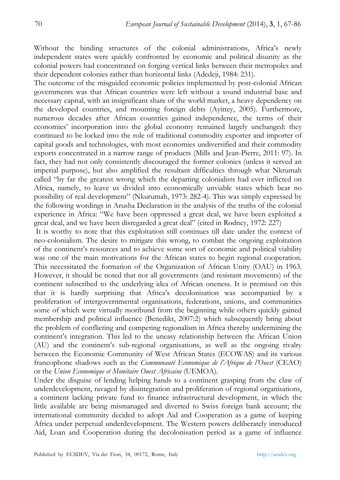Without the binding structures of the colonial administrations, Africa's newly independent states were quickly confronted by economic and political disunity as the colonial powers had concentrated on forging vertical links between their metropoles and their dependent colonies rather than horizontal links (Adedeji, 1984: 231).

The outcome of the misguided economic policies implemented by post-colonial African governments was that African countries were left without a sound industrial base and necessary capital, with an insignificant share of the world market, a heavy dependency on the developed countries, and mounting foreign debts (Ayittey, 2005). Furthermore, numerous decades after African countries gained independence, the terms of their economies' incorporation into the global economy remained largely unchanged: they continued to be locked into the role of traditional commodity exporter and importer of capital goods and technologies, with most economies undiversified and their commodity exports concentrated in a narrow range of products (Mills and Jean-Pierre, 2011: 97). In fact, they had not only consistently discouraged the former colonies (unless it served an imperial purpose), but also amplified the resultant difficulties through what Nkrumah called "by far the greatest wrong which the departing colonialists had ever inflicted on Africa, namely, to leave us divided into economically unviable states which bear no possibility of real development" (Nkurumah, 1973: 282-4). This was simply expressed by the following wordings in Arusha Declaration in the analysis of the truths of the colonial experience in Africa: "We have been oppressed a great deal, we have been exploited a great deal, and we have been disregarded a great deal" (cited in Rodney, 1972: 227)

 It is worthy to note that this exploitation still continues till date under the context of neo-colonialism. The desire to mitigate this wrong, to combat the ongoing exploitation of the continent's resources and to achieve some sort of economic and political viability was one of the main motivations for the African states to begin regional cooperation. This necessitated the formation of the Organization of African Unity (OAU) in 1963. However, it should be noted that not all governments (and resistant movements) of the continent subscribed to the underlying idea of African oneness. It is premised on this that it is hardly surprising that Africa's decolonisation was accompanied by a proliferation of intergovernmental organisations, federations, unions, and communities some of which were virtually moribund from the beginning while others quickly gained membership and political influence (Benedikt, 2007:2) which subsequently bring about the problem of conflicting and competing regionalism in Africa thereby undermining the continent's integration. This led to the uneasy relationship between the African Union (AU) and the continent's sub-regional organisations, as well as the ongoing rivalry between the Economic Community of West African States (ECOWAS) and its various francophone shadows such as the *Communauté Economique de l'Afrique de l'Ouest* (CEAO) or the *Union Economique et Monétaire Ouest Africaine* (UEMOA).

Under the disguise of lending helping hands to a continent grasping from the claw of underdevelopment, ravaged by disintegration and proliferation of regional organisations, a continent lacking private fund to finance infrastructural development, in which the little available are being mismanaged and diverted to Swiss foreign bank account; the international community decided to adopt Aid and Cooperation as a game of keeping Africa under perpetual underdevelopment. The Western powers deliberately introduced Aid, Loan and Cooperation during the decolonisation period as a game of influence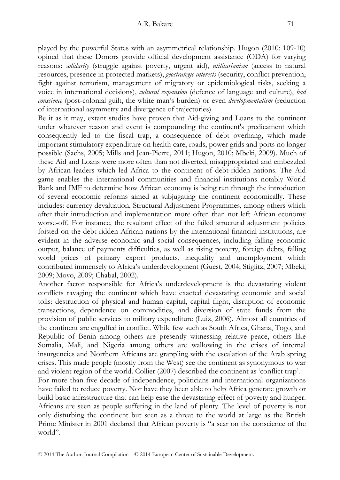played by the powerful States with an asymmetrical relationship. Hugon (2010: 109-10) opined that these Donors provide official development assistance (ODA) for varying reasons: *solidarity* (struggle against poverty, urgent aid), *utilitarianism* (access to natural resources, presence in protected markets), *geostrategic interests* (security, conflict prevention, fight against terrorism, management of migratory or epidemiological risks, seeking a voice in international decisions), *cultural expansion* (defence of language and culture), *bad conscience* (post-colonial guilt, the white man's burden) or even *developmentalism* (reduction of international asymmetry and divergence of trajectories).

Be it as it may, extant studies have proven that Aid-giving and Loans to the continent under whatever reason and event is compounding the continent's predicament which consequently led to the fiscal trap, a consequence of debt overhang, which made important stimulatory expenditure on health care, roads, power grids and ports no longer possible (Sachs, 2005; Mills and Jean-Pierre, 2011; Hugon, 2010; Mbeki, 2009). Much of these Aid and Loans were more often than not diverted, misappropriated and embezzled by African leaders which led Africa to the continent of debt-ridden nations. The Aid game enables the international communities and financial institutions notably World Bank and IMF to determine how African economy is being run through the introduction of several economic reforms aimed at subjugating the continent economically. These includes: currency devaluation, Structural Adjustment Programmes, among others which after their introduction and implementation more often than not left African economy worse-off. For instance, the resultant effect of the failed structural adjustment policies foisted on the debt-ridden African nations by the international financial institutions, are evident in the adverse economic and social consequences, including falling economic output, balance of payments difficulties, as well as rising poverty, foreign debts, falling world prices of primary export products, inequality and unemployment which contributed immensely to Africa's underdevelopment (Guest, 2004; Stiglitz, 2007; Mbeki, 2009; Moyo, 2009; Chabal, 2002).

Another factor responsible for Africa's underdevelopment is the devastating violent conflicts ravaging the continent which have exacted devastating economic and social tolls: destruction of physical and human capital, capital flight, disruption of economic transactions, dependence on commodities, and diversion of state funds from the provision of public services to military expenditure (Luiz, 2006). Almost all countries of the continent are engulfed in conflict. While few such as South Africa, Ghana, Togo, and Republic of Benin among others are presently witnessing relative peace, others like Somalia, Mali, and Nigeria among others are wallowing in the crises of internal insurgencies and Northern Africans are grappling with the escalation of the Arab spring crises. This made people (mostly from the West) see the continent as synonymous to war and violent region of the world. Collier (2007) described the continent as 'conflict trap'.

For more than five decade of independence, politicians and international organizations have failed to reduce poverty. Nor have they been able to help Africa generate growth or build basic infrastructure that can help ease the devastating effect of poverty and hunger. Africans are seen as people suffering in the land of plenty. The level of poverty is not only disturbing the continent but seen as a threat to the world at large as the British Prime Minister in 2001 declared that African poverty is "a scar on the conscience of the world".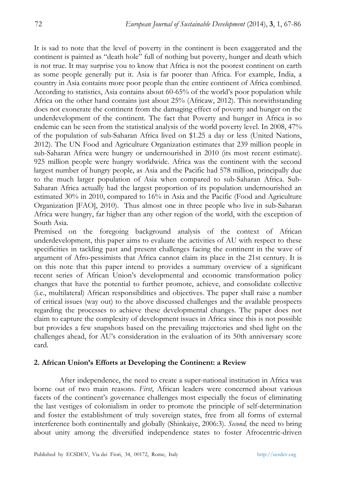It is sad to note that the level of poverty in the continent is been exaggerated and the continent is painted as "death hole" full of nothing but poverty, hunger and death which is not true. It may surprise you to know that Africa is not the poorest continent on earth as some people generally put it. Asia is far poorer than Africa. For example, India, a country in Asia contains more poor people than the entire continent of Africa combined. According to statistics, Asia contains about 60-65% of the world's poor population while Africa on the other hand contains just about 25% (Africaw, 2012). This notwithstanding does not exonerate the continent from the damaging effect of poverty and hunger on the underdevelopment of the continent. The fact that Poverty and hunger in Africa is so endemic can be seen from the statistical analysis of the world poverty level. In 2008, 47% of the population of sub-Saharan Africa lived on \$1.25 a day or less (United Nations, 2012). The UN Food and Agriculture Organization estimates that 239 million people in sub-Saharan Africa were hungry or undernourished in 2010 (its most recent estimate). 925 million people were hungry worldwide. Africa was the continent with the second largest number of hungry people, as Asia and the Pacific had 578 million, principally due to the much larger population of Asia when compared to sub-Saharan Africa. Sub-Saharan Africa actually had the largest proportion of its population undernourished an estimated 30% in 2010, compared to 16% in Asia and the Pacific (Food and Agriculture Organization [FAO], 2010). Thus almost one in three people who live in sub-Saharan Africa were hungry, far higher than any other region of the world, with the exception of South Asia.

Premised on the foregoing background analysis of the context of African underdevelopment, this paper aims to evaluate the activities of AU with respect to these specificities in tackling past and present challenges facing the continent in the wave of argument of Afro-pessimists that Africa cannot claim its place in the 21st century. It is on this note that this paper intend to provides a summary overview of a significant recent series of African Union's developmental and economic transformation policy changes that have the potential to further promote, achieve, and consolidate collective (i.e., multilateral) African responsibilities and objectives. The paper shall raise a number of critical issues (way out) to the above discussed challenges and the available prospects regarding the processes to achieve these developmental changes. The paper does not claim to capture the complexity of development issues in Africa since this is not possible but provides a few snapshots based on the prevailing trajectories and shed light on the challenges ahead, for AU's consideration in the evaluation of its 50th anniversary score card.

#### **2. African Union's Efforts at Developing the Continent: a Review**

After independence, the need to create a super-national institution in Africa was borne out of two main reasons. *First*, African leaders were concerned about various facets of the continent's governance challenges most especially the focus of eliminating the last vestiges of colonialism in order to promote the principle of self-determination and foster the establishment of truly sovereign states, free from all forms of external interference both continentally and globally (Shinkaiye, 2006:3). *Second,* the need to bring about unity among the diversified independence states to foster Afrocentric-driven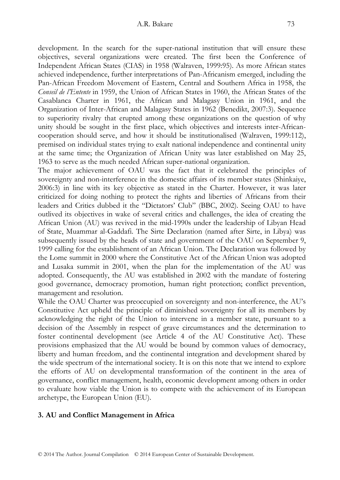development. In the search for the super-national institution that will ensure these objectives, several organizations were created. The first been the Conference of Independent African States (CIAS) in 1958 (Walraven, 1999:95). As more African states achieved independence, further interpretations of Pan-Africanism emerged, including the Pan-African Freedom Movement of Eastern, Central and Southern Africa in 1958, the *Conseil de l'Entente* in 1959, the Union of African States in 1960, the African States of the Casablanca Charter in 1961, the African and Malagasy Union in 1961, and the Organization of Inter-African and Malagasy States in 1962 (Benedikt, 2007:3). Sequence to superiority rivalry that erupted among these organizations on the question of why unity should be sought in the first place, which objectives and interests inter-Africancooperation should serve, and how it should be institutionalised (Walraven, 1999:112), premised on individual states trying to exalt national independence and continental unity at the same time; the Organization of African Unity was later established on May 25, 1963 to serve as the much needed African super-national organization.

The major achievement of OAU was the fact that it celebrated the principles of sovereignty and non-interference in the domestic affairs of its member states (Shinkaiye, 2006:3) in line with its key objective as stated in the Charter. However, it was later criticized for doing nothing to protect the rights and liberties of Africans from their leaders and Critics dubbed it the "Dictators' Club" (BBC, 2002). Seeing OAU to have outlived its objectives in wake of several critics and challenges, the idea of creating the African Union (AU) was revived in the mid-1990s under the leadership of Libyan Head of State, Muammar al-Gaddafi. The Sirte Declaration (named after Sirte, in Libya) was subsequently issued by the heads of state and government of the OAU on September 9, 1999 calling for the establishment of an African Union. The Declaration was followed by the Lome summit in 2000 where the Constitutive Act of the African Union was adopted and Lusaka summit in 2001, when the plan for the implementation of the AU was adopted. Consequently, the AU was established in 2002 with the mandate of fostering good governance, democracy promotion, human right protection; conflict prevention, management and resolution.

While the OAU Charter was preoccupied on sovereignty and non-interference, the AU's Constitutive Act upheld the principle of diminished sovereignty for all its members by acknowledging the right of the Union to intervene in a member state, pursuant to a decision of the Assembly in respect of grave circumstances and the determination to foster continental development (see Article 4 of the AU Constitutive Act). These provisions emphasized that the AU would be bound by common values of democracy, liberty and human freedom, and the continental integration and development shared by the wide spectrum of the international society. It is on this note that we intend to explore the efforts of AU on developmental transformation of the continent in the area of governance, conflict management, health, economic development among others in order to evaluate how viable the Union is to compete with the achievement of its European archetype, the European Union (EU).

## **3. AU and Conflict Management in Africa**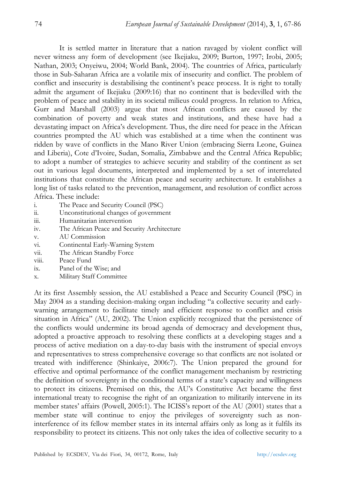It is settled matter in literature that a nation ravaged by violent conflict will never witness any form of development (see Ikejiaku, 2009; Burton, 1997; Irobi, 2005; Nathan, 2003; Onyeiwu, 2004; World Bank, 2004). The countries of Africa, particularly those in Sub-Saharan Africa are a volatile mix of insecurity and conflict. The problem of conflict and insecurity is destabilising the continent's peace process. It is right to totally admit the argument of Ikejiaku (2009:16) that no continent that is bedevilled with the problem of peace and stability in its societal milieus could progress. In relation to Africa, Gurr and Marshall (2003) argue that most African conflicts are caused by the combination of poverty and weak states and institutions, and these have had a devastating impact on Africa's development. Thus, the dire need for peace in the African countries prompted the AU which was established at a time when the continent was ridden by wave of conflicts in the Mano River Union (embracing Sierra Leone, Guinea and Liberia), Cote d'Ivoire, Sudan, Somalia, Zimbabwe and the Central Africa Republic; to adopt a number of strategies to achieve security and stability of the continent as set out in various legal documents, interpreted and implemented by a set of interrelated institutions that constitute the African peace and security architecture. It establishes a long list of tasks related to the prevention, management, and resolution of conflict across Africa. These include:

- i. The Peace and Security Council (PSC)
- ii. Unconstitutional changes of government
- iii. Humanitarian intervention
- iv. The African Peace and Security Architecture
- v. AU Commission
- vi. Continental Early-Warning System
- vii. The African Standby Force
- viii. Peace Fund
- ix. Panel of the Wise; and
- x. Military Staff Committee

At its first Assembly session, the AU established a Peace and Security Council (PSC) in May 2004 as a standing decision-making organ including "a collective security and earlywarning arrangement to facilitate timely and efficient response to conflict and crisis situation in Africa" (AU, 2002). The Union explicitly recognized that the persistence of the conflicts would undermine its broad agenda of democracy and development thus, adopted a proactive approach to resolving these conflicts at a developing stages and a process of active mediation on a day-to-day basis with the instrument of special envoys and representatives to stress comprehensive coverage so that conflicts are not isolated or treated with indifference (Shinkaiye, 2006:7). The Union prepared the ground for effective and optimal performance of the conflict management mechanism by restricting the definition of sovereignty in the conditional terms of a state's capacity and willingness to protect its citizens. Premised on this, the AU's Constitutive Act became the first international treaty to recognise the right of an organization to militarily intervene in its member states' affairs (Powell, 2005:1). The ICISS's report of the AU (2001) states that a member state will continue to enjoy the privileges of sovereignty such as noninterference of its fellow member states in its internal affairs only as long as it fulfils its responsibility to protect its citizens. This not only takes the idea of collective security to a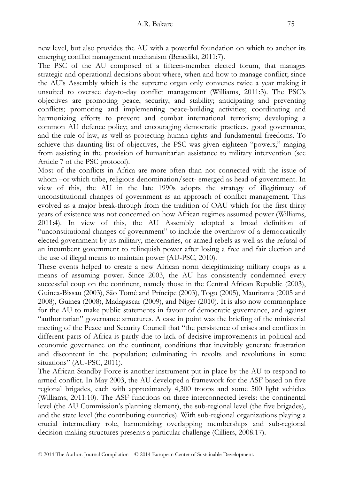new level, but also provides the AU with a powerful foundation on which to anchor its emerging conflict management mechanism (Benedikt, 2011:7).

The PSC of the AU composed of a fifteen-member elected forum, that manages strategic and operational decisions about where, when and how to manage conflict; since the AU's Assembly which is the supreme organ only convenes twice a year making it unsuited to oversee day-to-day conflict management (Williams, 2011:3). The PSC's objectives are promoting peace, security, and stability; anticipating and preventing conflicts; promoting and implementing peace-building activities; coordinating and harmonizing efforts to prevent and combat international terrorism; developing a common AU defence policy; and encouraging democratic practices, good governance, and the rule of law, as well as protecting human rights and fundamental freedoms. To achieve this daunting list of objectives, the PSC was given eighteen "powers," ranging from assisting in the provision of humanitarian assistance to military intervention (see Article 7 of the PSC protocol).

Most of the conflicts in Africa are more often than not connected with the issue of whom –or which tribe, religious denomination/sect- emerged as head of government. In view of this, the AU in the late 1990s adopts the strategy of illegitimacy of unconstitutional changes of government as an approach of conflict management. This evolved as a major break-through from the tradition of OAU which for the first thirty years of existence was not concerned on how African regimes assumed power (Williams, 2011:4). In view of this, the AU Assembly adopted a broad definition of "unconstitutional changes of government" to include the overthrow of a democratically elected government by its military, mercenaries, or armed rebels as well as the refusal of an incumbent government to relinquish power after losing a free and fair election and the use of illegal means to maintain power (AU-PSC, 2010).

These events helped to create a new African norm delegitimizing military coups as a means of assuming power. Since 2003, the AU has consistently condemned every successful coup on the continent, namely those in the Central African Republic (2003), Guinea-Bissau (2003), São Tomé and Príncipe (2003), Togo (2005), Mauritania (2005 and 2008), Guinea (2008), Madagascar (2009), and Niger (2010). It is also now commonplace for the AU to make public statements in favour of democratic governance, and against "authoritarian" governance structures. A case in point was the briefing of the ministerial meeting of the Peace and Security Council that "the persistence of crises and conflicts in different parts of Africa is partly due to lack of decisive improvements in political and economic governance on the continent, conditions that inevitably generate frustration and discontent in the population; culminating in revolts and revolutions in some situations" (AU-PSC, 2011).

The African Standby Force is another instrument put in place by the AU to respond to armed conflict. In May 2003, the AU developed a framework for the ASF based on five regional brigades, each with approximately 4,300 troops and some 500 light vehicles (Williams, 2011:10). The ASF functions on three interconnected levels: the continental level (the AU Commission's planning element), the sub-regional level (the five brigades), and the state level (the contributing countries). With sub-regional organizations playing a crucial intermediary role, harmonizing overlapping memberships and sub-regional decision-making structures presents a particular challenge (Cilliers, 2008:17).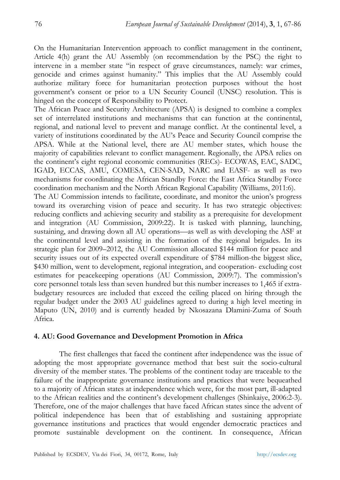On the Humanitarian Intervention approach to conflict management in the continent, Article 4(h) grant the AU Assembly (on recommendation by the PSC) the right to intervene in a member state "in respect of grave circumstances, namely: war crimes, genocide and crimes against humanity." This implies that the AU Assembly could authorize military force for humanitarian protection purposes without the host government's consent or prior to a UN Security Council (UNSC) resolution. This is hinged on the concept of Responsibility to Protect.

The African Peace and Security Architecture (APSA) is designed to combine a complex set of interrelated institutions and mechanisms that can function at the continental, regional, and national level to prevent and manage conflict. At the continental level, a variety of institutions coordinated by the AU's Peace and Security Council comprise the APSA. While at the National level, there are AU member states, which house the majority of capabilities relevant to conflict management. Regionally, the APSA relies on the continent's eight regional economic communities (RECs)- ECOWAS, EAC, SADC, IGAD, ECCAS, AMU, COMESA, CEN-SAD, NARC and EASF- as well as two mechanisms for coordinating the African Standby Force: the East Africa Standby Force coordination mechanism and the North African Regional Capability (Williams, 2011:6).

The AU Commission intends to facilitate, coordinate, and monitor the union's progress toward its overarching vision of peace and security. It has two strategic objectives: reducing conflicts and achieving security and stability as a prerequisite for development and integration (AU Commission, 2009:22). It is tasked with planning, launching, sustaining, and drawing down all AU operations—as well as with developing the ASF at the continental level and assisting in the formation of the regional brigades. In its strategic plan for 2009–2012, the AU Commission allocated \$144 million for peace and security issues out of its expected overall expenditure of \$784 million-the biggest slice, \$430 million, went to development, regional integration, and cooperation- excluding cost estimates for peacekeeping operations (AU Commission, 2009:7). The commission's core personnel totals less than seven hundred but this number increases to 1,465 if extrabudgetary resources are included that exceed the ceiling placed on hiring through the regular budget under the 2003 AU guidelines agreed to during a high level meeting in Maputo (UN, 2010) and is currently headed by Nkosazana Dlamini-Zuma of South Africa.

#### **4. AU: Good Governance and Development Promotion in Africa**

The first challenges that faced the continent after independence was the issue of adopting the most appropriate governance method that best suit the socio-cultural diversity of the member states. The problems of the continent today are traceable to the failure of the inappropriate governance institutions and practices that were bequeathed to a majority of African states at independence which were, for the most part, ill-adapted to the African realities and the continent's development challenges (Shinkaiye, 2006:2-3). Therefore, one of the major challenges that have faced African states since the advent of political independence has been that of establishing and sustaining appropriate governance institutions and practices that would engender democratic practices and promote sustainable development on the continent. In consequence, African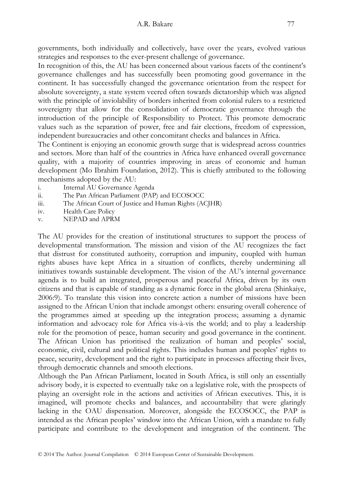governments, both individually and collectively, have over the years, evolved various strategies and responses to the ever-present challenge of governance.

In recognition of this, the AU has been concerned about various facets of the continent's governance challenges and has successfully been promoting good governance in the continent. It has successfully changed the governance orientation from the respect for absolute sovereignty, a state system veered often towards dictatorship which was aligned with the principle of inviolability of borders inherited from colonial rulers to a restricted sovereignty that allow for the consolidation of democratic governance through the introduction of the principle of Responsibility to Protect. This promote democratic values such as the separation of power, free and fair elections, freedom of expression, independent bureaucracies and other concomitant checks and balances in Africa.

The Continent is enjoying an economic growth surge that is widespread across countries and sectors. More than half of the countries in Africa have enhanced overall governance quality, with a majority of countries improving in areas of economic and human development (Mo Ibrahim Foundation, 2012). This is chiefly attributed to the following mechanisms adopted by the AU:

- i. Internal AU Governance Agenda<br>ii The Pan African Parliament (PAP)
- The Pan African Parliament (PAP) and ECOSOCC
- iii. The African Court of Justice and Human Rights (ACJHR)
- iv. Health Care Policy
- v. NEPAD and APRM

The AU provides for the creation of institutional structures to support the process of developmental transformation. The mission and vision of the AU recognizes the fact that distrust for constituted authority, corruption and impunity, coupled with human rights abuses have kept Africa in a situation of conflicts, thereby undermining all initiatives towards sustainable development. The vision of the AU's internal governance agenda is to build an integrated, prosperous and peaceful Africa, driven by its own citizens and that is capable of standing as a dynamic force in the global arena (Shinkaiye, 2006:9). To translate this vision into concrete action a number of missions have been assigned to the African Union that include amongst others: ensuring overall coherence of the programmes aimed at speeding up the integration process; assuming a dynamic information and advocacy role for Africa vis-à-vis the world; and to play a leadership role for the promotion of peace, human security and good governance in the continent. The African Union has prioritised the realization of human and peoples' social, economic, civil, cultural and political rights. This includes human and peoples' rights to peace, security, development and the right to participate in processes affecting their lives, through democratic channels and smooth elections.

Although the Pan African Parliament, located in South Africa, is still only an essentially advisory body, it is expected to eventually take on a legislative role, with the prospects of playing an oversight role in the actions and activities of African executives. This, it is imagined, will promote checks and balances, and accountability that were glaringly lacking in the OAU dispensation. Moreover, alongside the ECOSOCC, the PAP is intended as the African peoples' window into the African Union, with a mandate to fully participate and contribute to the development and integration of the continent. The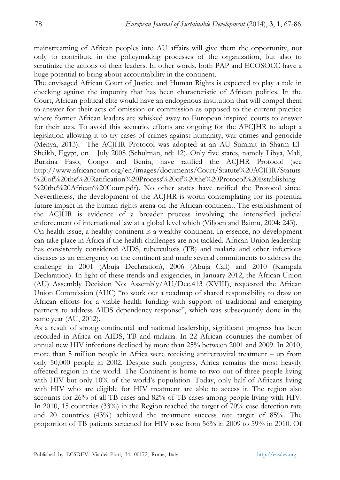mainstreaming of African peoples into AU affairs will give them the opportunity, not only to contribute in the policymaking processes of the organization, but also to scrutinize the actions of their leaders. In other words, both PAP and ECOSOCC have a huge potential to bring about accountability in the continent.

The envisaged African Court of Justice and Human Rights is expected to play a role in checking against the impunity that has been characteristic of African politics. In the Court, African political elite would have an endogenous institution that will compel them to answer for their acts of omission or commission as opposed to the current practice where former African leaders are whisked away to European inspired courts to answer for their acts. To avoid this scenario, efforts are ongoing for the AFCJHR to adopt a legislation allowing it to try cases of crimes against humanity, war crimes and genocide (Menya, 2013). The ACJHR Protocol was adopted at an AU Summit in Sharm El-Sheikh, Egypt, on 1 July 2008 (Schulman, nd: 12). Only five states, namely Libya, Mali, Burkina Faso, Congo and Benin, have ratified the ACJHR Protocol (see http://www.africancourt.org/en/images/documents/Court/Statute%20ACJHR/Statuts %20of%20the%20Ratification%20Process%20of%20the%20Protocol%20Establishing %20the%20African%20Court.pdf). No other states have ratified the Protocol since. Nevertheless, the development of the ACJHR is worth contemplating for its potential future impact in the human rights arena on the African continent. The establishment of the ACJHR is evidence of a broader process involving the intensified judicial

enforcement of international law at a global level which (Viljoen and Baimu, 2004: 243). On health issue, a healthy continent is a wealthy continent. In essence, no development can take place in Africa if the health challenges are not tackled. African Union leadership has consistently considered AIDS, tuberculosis (TB) and malaria and other infectious diseases as an emergency on the continent and made several commitments to address the challenge in 2001 (Abuja Declaration), 2006 (Abuja Call) and 2010 (Kampala Declaration). In light of these trends and exigencies, in January 2012, the African Union (AU) Assembly Decision No: Assembly/AU/Dec.413 (XVIII), requested the African Union Commission (AUC) "to work out a roadmap of shared responsibility to draw on African efforts for a viable health funding with support of traditional and emerging partners to address AIDS dependency response", which was subsequently done in the same year (AU, 2012).

As a result of strong continental and national leadership, significant progress has been recorded in Africa on AIDS, TB and malaria. In 22 African countries the number of annual new HIV infections declined by more than 25% between 2001 and 2009. In 2010, more than 5 million people in Africa were receiving antiretroviral treatment – up from only 50,000 people in 2002. Despite such progress, Africa remains the most heavily affected region in the world. The Continent is home to two out of three people living with HIV but only 10% of the world's population. Today, only half of Africans living with HIV who are eligible for HIV treatment are able to access it. The region also accounts for 26% of all TB cases and 82% of TB cases among people living with HIV. In 2010, 15 countries (33%) in the Region reached the target of 70% case detection rate and 20 countries (43%) achieved the treatment success rate target of 85%. The proportion of TB patients screened for HIV rose from 56% in 2009 to 59% in 2010. Of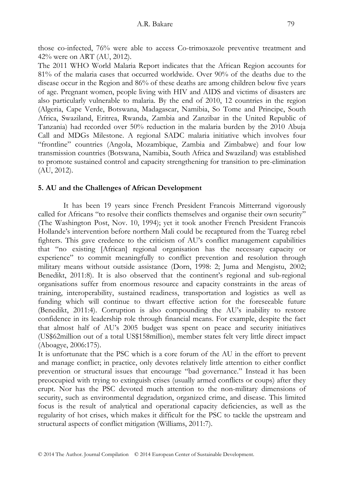those co-infected, 76% were able to access Co-trimoxazole preventive treatment and 42% were on ART (AU, 2012).

The 2011 WHO World Malaria Report indicates that the African Region accounts for 81% of the malaria cases that occurred worldwide. Over 90% of the deaths due to the disease occur in the Region and 86% of these deaths are among children below five years of age. Pregnant women, people living with HIV and AIDS and victims of disasters are also particularly vulnerable to malaria. By the end of 2010, 12 countries in the region (Algeria, Cape Verde, Botswana, Madagascar, Namibia, So Tome and Principe, South Africa, Swaziland, Eritrea, Rwanda, Zambia and Zanzibar in the United Republic of Tanzania) had recorded over 50% reduction in the malaria burden by the 2010 Abuja Call and MDGs Milestone. A regional SADC malaria initiative which involves four "frontline" countries (Angola, Mozambique, Zambia and Zimbabwe) and four low transmission countries (Botswana, Namibia, South Africa and Swaziland) was established to promote sustained control and capacity strengthening for transition to pre-elimination (AU, 2012).

# **5. AU and the Challenges of African Development**

It has been 19 years since French President Francois Mitterrand vigorously called for Africans "to resolve their conflicts themselves and organise their own security" (The Washington Post, Nov. 10, 1994); yet it took another French President Francois Hollande's intervention before northern Mali could be recaptured from the Tuareg rebel fighters. This gave credence to the criticism of AU's conflict management capabilities that "no existing [African] regional organisation has the necessary capacity or experience" to commit meaningfully to conflict prevention and resolution through military means without outside assistance (Dorn, 1998: 2; Juma and Mengistu, 2002; Benedikt, 2011:8). It is also observed that the continent's regional and sub-regional organisations suffer from enormous resource and capacity constraints in the areas of training, interoperability, sustained readiness, transportation and logistics as well as funding which will continue to thwart effective action for the foreseeable future (Benedikt, 2011:4). Corruption is also compounding the AU's inability to restore confidence in its leadership role through financial means. For example, despite the fact that almost half of AU's 2005 budget was spent on peace and security initiatives (US\$62million out of a total US\$158million), member states felt very little direct impact (Aboagye, 2006:175).

It is unfortunate that the PSC which is a core forum of the AU in the effort to prevent and manage conflict; in practice, only devotes relatively little attention to either conflict prevention or structural issues that encourage "bad governance." Instead it has been preoccupied with trying to extinguish crises (usually armed conflicts or coups) after they erupt. Nor has the PSC devoted much attention to the non-military dimensions of security, such as environmental degradation, organized crime, and disease. This limited focus is the result of analytical and operational capacity deficiencies, as well as the regularity of hot crises, which makes it difficult for the PSC to tackle the upstream and structural aspects of conflict mitigation (Williams, 2011:7).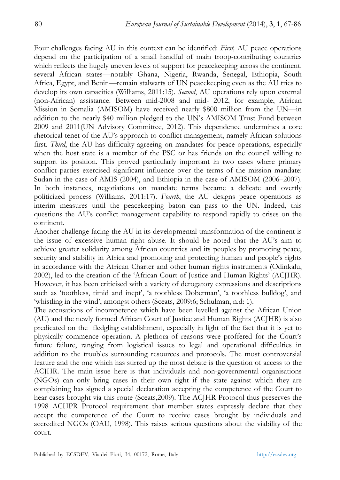Four challenges facing AU in this context can be identified: *First,* AU peace operations depend on the participation of a small handful of main troop-contributing countries which reflects the hugely uneven levels of support for peacekeeping across the continent. several African states—notably Ghana, Nigeria, Rwanda, Senegal, Ethiopia, South Africa, Egypt, and Benin—remain stalwarts of UN peacekeeping even as the AU tries to develop its own capacities (Williams, 2011:15). *Second*, AU operations rely upon external (non-African) assistance. Between mid-2008 and mid- 2012, for example, African Mission in Somalia (AMISOM) have received nearly \$800 million from the UN—in addition to the nearly \$40 million pledged to the UN's AMISOM Trust Fund between 2009 and 2011(UN Advisory Committee, 2012). This dependence undermines a core rhetorical tenet of the AU's approach to conflict management, namely African solutions first. *Third*, the AU has difficulty agreeing on mandates for peace operations, especially when the host state is a member of the PSC or has friends on the council willing to support its position. This proved particularly important in two cases where primary conflict parties exercised significant influence over the terms of the mission mandate: Sudan in the case of AMIS (2004), and Ethiopia in the case of AMISOM (2006–2007). In both instances, negotiations on mandate terms became a delicate and overtly politicized process (Williams, 2011:17). *Fourth*, the AU designs peace operations as interim measures until the peacekeeping baton can pass to the UN. Indeed, this questions the AU's conflict management capability to respond rapidly to crises on the continent.

Another challenge facing the AU in its developmental transformation of the continent is the issue of excessive human right abuse. It should be noted that the AU's aim to achieve greater solidarity among African countries and its peoples by promoting peace, security and stability in Africa and promoting and protecting human and people's rights in accordance with the African Charter and other human rights instruments (Odinkalu, 2002), led to the creation of the 'African Court of Justice and Human Rights' (ACJHR). However, it has been criticised with a variety of derogatory expressions and descriptions such as 'toothless, timid and inept', 'a toothless Doberman', 'a toothless bulldog', and 'whistling in the wind', amongst others (Sceats, 2009:6; Schulman, n.d: 1).

The accusations of incompetence which have been levelled against the African Union (AU) and the newly formed African Court of Justice and Human Rights (ACJHR) is also predicated on the fledgling establishment, especially in light of the fact that it is yet to physically commence operation. A plethora of reasons were proffered for the Court's future failure, ranging from logistical issues to legal and operational difficulties in addition to the troubles surrounding resources and protocols. The most controversial feature and the one which has stirred up the most debate is the question of access to the ACJHR. The main issue here is that individuals and non-governmental organisations (NGOs) can only bring cases in their own right if the state against which they are complaining has signed a special declaration accepting the competence of the Court to hear cases brought via this route (Sceats,2009). The ACJHR Protocol thus preserves the 1998 ACHPR Protocol requirement that member states expressly declare that they accept the competence of the Court to receive cases brought by individuals and accredited NGOs (OAU, 1998). This raises serious questions about the viability of the court.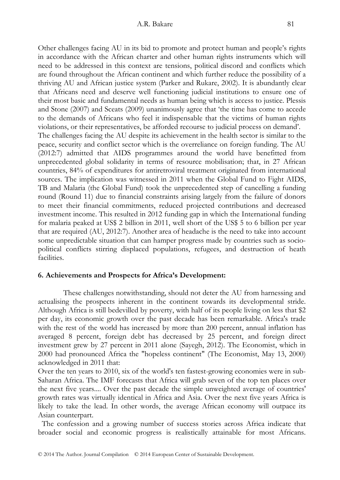Other challenges facing AU in its bid to promote and protect human and people's rights in accordance with the African charter and other human rights instruments which will need to be addressed in this context are tensions, political discord and conflicts which are found throughout the African continent and which further reduce the possibility of a thriving AU and African justice system (Parker and Rukare, 2002). It is abundantly clear that Africans need and deserve well functioning judicial institutions to ensure one of their most basic and fundamental needs as human being which is access to justice. Plessis and Stone (2007) and Sceats (2009) unanimously agree that 'the time has come to accede to the demands of Africans who feel it indispensable that the victims of human rights violations, or their representatives, be afforded recourse to judicial process on demand'. The challenges facing the AU despite its achievement in the health sector is similar to the peace, security and conflict sector which is the overreliance on foreign funding. The AU (2012:7) admitted that AIDS programmes around the world have benefitted from unprecedented global solidarity in terms of resource mobilisation; that, in 27 African countries, 84% of expenditures for antiretroviral treatment originated from international sources. The implication was witnessed in 2011 when the Global Fund to Fight AIDS, TB and Malaria (the Global Fund) took the unprecedented step of cancelling a funding round (Round 11) due to financial constraints arising largely from the failure of donors to meet their financial commitments, reduced projected contributions and decreased investment income. This resulted in 2012 funding gap in which the International funding for malaria peaked at US\$ 2 billion in 2011, well short of the US\$ 5 to 6 billion per year that are required (AU, 2012:7). Another area of headache is the need to take into account some unpredictable situation that can hamper progress made by countries such as sociopolitical conflicts stirring displaced populations, refugees, and destruction of heath facilities.

#### **6. Achievements and Prospects for Africa's Development:**

These challenges notwithstanding, should not deter the AU from harnessing and actualising the prospects inherent in the continent towards its developmental stride. Although Africa is still bedevilled by poverty, with half of its people living on less that \$2 per day, its economic growth over the past decade has been remarkable. Africa's trade with the rest of the world has increased by more than 200 percent, annual inflation has averaged 8 percent, foreign debt has decreased by 25 percent, and foreign direct investment grew by 27 percent in 2011 alone (Sayegh, 2012). The Economist, which in 2000 had pronounced Africa the "hopeless continent" (The Economist, May 13, 2000) acknowledged in 2011 that:

Over the ten years to 2010, six of the world's ten fastest-growing economies were in sub-Saharan Africa. The IMF forecasts that Africa will grab seven of the top ten places over the next five years.... Over the past decade the simple unweighted average of countries' growth rates was virtually identical in Africa and Asia. Over the next five years Africa is likely to take the lead. In other words, the average African economy will outpace its Asian counterpart.

 The confession and a growing number of success stories across Africa indicate that broader social and economic progress is realistically attainable for most Africans.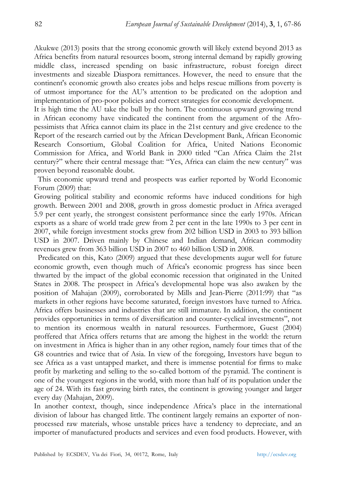Akukwe (2013) posits that the strong economic growth will likely extend beyond 2013 as Africa benefits from natural resources boom, strong internal demand by rapidly growing middle class, increased spending on basic infrastructure, robust foreign direct investments and sizeable Diaspora remittances. However, the need to ensure that the continent's economic growth also creates jobs and helps rescue millions from poverty is of utmost importance for the AU's attention to be predicated on the adoption and implementation of pro-poor policies and correct strategies for economic development.

It is high time the AU take the bull by the horn. The continuous upward growing trend in African economy have vindicated the continent from the argument of the Afropessimists that Africa cannot claim its place in the 21st century and give credence to the Report of the research carried out by the African Development Bank, African Economic Research Consortium, Global Coalition for Africa, United Nations Economic Commission for Africa, and World Bank in 2000 titled "Can Africa Claim the 21st century?" where their central message that: "Yes, Africa can claim the new century" was proven beyond reasonable doubt.

 This economic upward trend and prospects was earlier reported by World Economic Forum (2009) that:

Growing political stability and economic reforms have induced conditions for high growth. Between 2001 and 2008, growth in gross domestic product in Africa averaged 5.9 per cent yearly, the strongest consistent performance since the early 1970s. African exports as a share of world trade grew from 2 per cent in the late 1990s to 3 per cent in 2007, while foreign investment stocks grew from 202 billion USD in 2003 to 393 billion USD in 2007. Driven mainly by Chinese and Indian demand, African commodity revenues grew from 363 billion USD in 2007 to 460 billion USD in 2008.

 Predicated on this, Kato (2009) argued that these developments augur well for future economic growth, even though much of Africa's economic progress has since been thwarted by the impact of the global economic recession that originated in the United States in 2008. The prospect in Africa's developmental hope was also awaken by the position of Mahajan (2009), corroborated by Mills and Jean-Pierre (2011:99) that "as markets in other regions have become saturated, foreign investors have turned to Africa. Africa offers businesses and industries that are still immature. In addition, the continent provides opportunities in terms of diversification and counter-cyclical investments", not to mention its enormous wealth in natural resources. Furthermore, Guest (2004) proffered that Africa offers returns that are among the highest in the world: the return on investment in Africa is higher than in any other region, namely four times that of the G8 countries and twice that of Asia. In view of the foregoing, Investors have begun to see Africa as a vast untapped market, and there is immense potential for firms to make profit by marketing and selling to the so-called bottom of the pyramid. The continent is one of the youngest regions in the world, with more than half of its population under the age of 24. With its fast growing birth rates, the continent is growing younger and larger every day (Mahajan, 2009).

In another context, though, since independence Africa's place in the international division of labour has changed little. The continent largely remains an exporter of nonprocessed raw materials, whose unstable prices have a tendency to depreciate, and an importer of manufactured products and services and even food products. However, with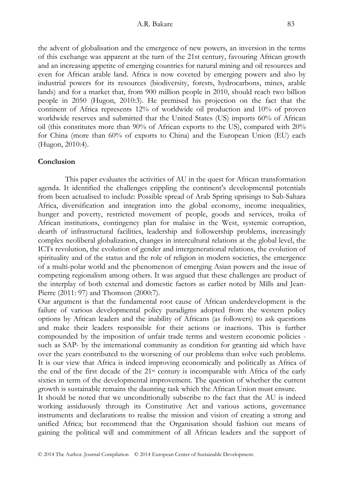#### A.R. Bakare 83

the advent of globalisation and the emergence of new powers, an inversion in the terms of this exchange was apparent at the turn of the 21st century, favouring African growth and an increasing appetite of emerging countries for natural mining and oil resources and even for African arable land. Africa is now coveted by emerging powers and also by industrial powers for its resources (biodiversity, forests, hydrocarbons, mines, arable lands) and for a market that, from 900 million people in 2010, should reach two billion people in 2050 (Hugon, 2010:3). He premised his projection on the fact that the continent of Africa represents 12% of worldwide oil production and 10% of proven worldwide reserves and submitted that the United States (US) imports 60% of African oil (this constitutes more than 90% of African exports to the US), compared with 20% for China (more than 60% of exports to China) and the European Union (EU) each (Hugon, 2010:4).

#### **Conclusion**

 This paper evaluates the activities of AU in the quest for African transformation agenda. It identified the challenges crippling the continent's developmental potentials from been actualised to include: Possible spread of Arab Spring uprisings to Sub-Sahara Africa, diversification and integration into the global economy, income inequalities, hunger and poverty, restricted movement of people, goods and services, troika of African institutions, contingency plan for malaise in the West, systemic corruption, dearth of infrastructural facilities, leadership and followership problems, increasingly complex neoliberal globalization, changes in intercultural relations at the global level, the ICTs revolution, the evolution of gender and intergenerational relations, the evolution of spirituality and of the status and the role of religion in modern societies, the emergence of a multi-polar world and the phenomenon of emerging Asian powers and the issue of competing regionalism among others. It was argued that these challenges are product of the interplay of both external and domestic factors as earlier noted by Mills and Jean-Pierre (2011: 97) and Thomson (2000:7).

Our argument is that the fundamental root cause of African underdevelopment is the failure of various developmental policy paradigms adopted from the western policy options by African leaders and the inability of Africans (as followers) to ask questions and make their leaders responsible for their actions or inactions. This is further compounded by the imposition of unfair trade terms and western economic policies such as SAP- by the international community as condition for granting aid which have over the years contributed to the worsening of our problems than solve such problems. It is our view that Africa is indeed improving economically and politically as Africa of the end of the first decade of the 21st century is incomparable with Africa of the early sixties in term of the developmental improvement. The question of whether the current growth is sustainable remains the daunting task which the African Union must ensure.

It should be noted that we unconditionally subscribe to the fact that the AU is indeed working assiduously through its Constitutive Act and various actions, governance instruments and declarations to realise the mission and vision of creating a strong and unified Africa; but recommend that the Organisation should fashion out means of gaining the political will and commitment of all African leaders and the support of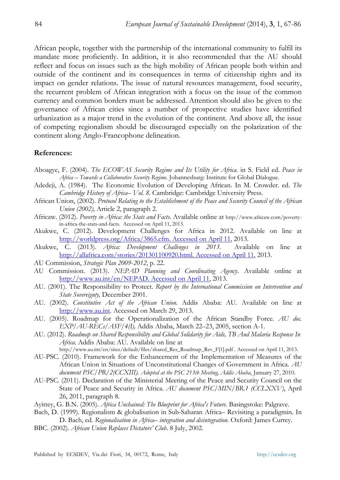African people, together with the partnership of the international community to fulfil its mandate more proficiently. In addition, it is also recommended that the AU should reflect and focus on issues such as the high mobility of African people both within and outside of the continent and its consequences in terms of citizenship rights and its impact on gender relations. The issue of natural resources management, food security, the recurrent problem of African integration with a focus on the issue of the common currency and common borders must be addressed. Attention should also be given to the governance of African cities since a number of prospective studies have identified urbanization as a major trend in the evolution of the continent. And above all, the issue of competing regionalism should be discouraged especially on the polarization of the continent along Anglo-Francophone delineation.

#### **References:**

- Aboagye, F. (2004). *The ECOWAS Security Regime and Its Utility for Africa.* in S. Field ed. *Peace in Africa – Towards a Collaborative Security Regime.* Johannesburg: Institute for Global Dialogue.
- Adedeji, A. (1984). The Economic Evolution of Developing African. In M. Crowder. ed. *The Cambridge History of Africa– Vol. 8.* Cambridge: Cambridge University Press.
- African Union, (2002). *Protocol Relating to the Establishment of the Peace and Security Council of the African Union (2002),* Article 2, paragraph 2.
- Africaw. (2012). *Poverty in Africa: the Stats and Facts*. Available online at http://www.africaw.com/povertyin-africa-the-stats-and-facts. Accessed on April 11, 2013.
- Akukwe, C. (2012). Development Challenges for Africa in 2012. Available on line at http://worldpress.org/Africa/3865.cfm. Accessed on April 11, 2013.
- Akukwe, C. (2013). *Africa: Development Challenges in 2013*. Available on line at http://allafrica.com/stories/201301100920.html. Accessed on April 11, 2013.
- AU Commission, *Strategic Plan 2009*-*2012*, p. 22.
- AU Commission. (2013). *NEPAD Planning and Coordinating Agency*. Available online at http://www.au.int/en/NEPAD. Accessed on April 11, 2013.
- AU. (2001). The Responsibility to Protect. *Report by the International Commission on Intervention and State Sovereignty,* December 2001.
- AU. (2002). *Constitutive Act of the African Union*. Addis Ababa: AU. Available on line at http://www.au.int. Accessed on March 29, 2013.
- AU. (2005). Roadmap for the Operationalization of the African Standby Force. *AU doc. EXP/AU-RECs/ASF/4(I),* Addis Ababa, March 22–23, 2005, section A-1.
- AU. (2012). *Roadmap on Shared Responsibility and Global Solidarity for Aids, TB And Malaria Response In Africa*. Addis Ababa: AU. Available on line at
	- http://www.au.int/en/sites/default/files/shared\_Res\_Roadmap\_Rev\_F[1].pdf . Accessed on April 11, 2013.
- AU-PSC. (2010). Framework for the Enhancement of the Implementation of Measures of the African Union in Situations of Unconstitutional Changes of Government in Africa. *AU document PSC/PR/2(CCXIII). Adopted at the PSC 213th Meeting, Addis Ababa*, January 27, 2010.
- AU-PSC. (2011). Declaration of the Ministerial Meeting of the Peace and Security Council on the State of Peace and Security in Africa. *AU document PSC/MIN/BR.1 (CCLXXV)*, April 26, 2011, paragraph 8.
- Ayittey, G. B.N. (2005). *Africa Unchained: The Blueprint for Africa's Future*. Basingstoke: Palgrave.
- Bach, D. (1999). Regionalism & globalisation in Sub-Saharan Africa– Revisiting a paradigmin. In D. Bach, ed. *Regionalisation in Africa– integration and disintegration.* Oxford: James Currey.
- BBC. (2002). *African Union Replaces Dictators' Club*. 8 July, 2002.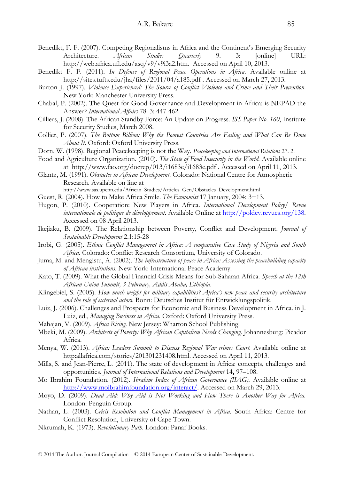- Benedikt, F. F. (2007). Competing Regionalisms in Africa and the Continent's Emerging Security Architecture. *African Studies Quarterly* 9. 3: [online] URL: http://web.africa.ufl.edu/asq/v9/v9i3a2.htm. Accessed on April 10, 2013.
- Benedikt F. F*.* (2011). *In Defense of Regional Peace Operations in Africa*. Available online at http://sites.tufts.edu/jha/files/2011/04/a185.pdf . Accessed on March 27, 2013.
- Burton J. (1997). *Violence Experienced: The Source of Conflict Violence and Crime and Their Prevention*. New York: Manchester University Press.
- Chabal, P. (2002). The Quest for Good Governance and Development in Africa: is NEPAD the Answer? *International Affairs* 78. 3: 447-462.
- Cilliers, J. (2008). The African Standby Force: An Update on Progress. *ISS Paper No. 160*, Institute for Security Studies, March 2008.
- Collier, P. (2007). *The Bottom Billion: Why the Poorest Countries Are Failing and What Can Be Done About It*. Oxford: Oxford University Press.
- Dorn, W. (1998). Regional Peacekeeping is not the Way. *Peacekeeping and International Relations* 27. 2.
- Food and Agriculture Organization. (2010). *The State of Food Insecurity in the World.* Available online at http://www.fao.org/docrep/013/i1683e/i1683e.pdf . Accessed on April 11, 2013.
- Glantz, M. (1991). *Obstacles to African Development*. Colorado: National Centre for Atmospheric Research. Available on line at
	- http://www.sas.upenn.edu/African\_Studies/Articles\_Gen/Obstacles\_Development.html
- Guest, R. (2004). How to Make Africa Smile. *The Economist* 17 January, 2004: 3−13.
- Hugon, P. (2010). Cooperation: New Players in Africa. *International Development Policy/ Revue internationale de politique de développement*. Available Online at http://poldev.revues.org/138. Accessed on 08 April 2013.
- Ikejiaku, B. (2009). The Relationship between Poverty, Conflict and Development. *Journal of Sustainable Development* 2.1:15-28
- Irobi, G. (2005). *Ethnic Conflict Management in Africa: A comparative Case Study of Nigeria and South Africa.* Colorado: Conflict Research Consortium, University of Colorado.
- Juma, M. and Mengistu, A. (2002). *The infrastructure of peace in Africa: Assessing the peacebuilding capacity of African institutions.* New York: International Peace Academy.
- Kato, T. (2009). What the Global Financial Crisis Means for Sub-Saharan Africa. *Speech at the 12th African Union Summit, 3 February, Addis Ababa, Ethiopia*.
- Klingebiel, S. (2005). *How much weight for military capabilities? Africa's new peace and security architecture and the role of external actors*. Bonn: Deutsches Institut für Entwicklungspolitik.
- Luiz, J. (2006). Challenges and Prospects for Economic and Business Development in Africa. in J. Luiz, ed., *Managing Business in Africa*. Oxford: Oxford University Press.
- Mahajan, V. (2009). *Africa Rising*. New Jersey: Wharton School Publishing.
- Mbeki, M. (2009). *Architects of Poverty: Why African Capitalism Needs Changing*. Johannesburg: Picador Africa.
- Menya, W. (2013). *Africa: Leaders Summit to Discuss Regional War crimes Court.* Available online at http:allafrica.com/stories/201301231408.html. Accessed on April 11, 2013.
- Mills, S. and Jean-Pierre, L. (2011). The state of development in Africa: concepts, challenges and opportunities. *Journal of International Relations and Development* 14**,** 97–108.
- Mo Ibrahim Foundation. (2012). *Ibrahim Index of African Governance (IIAG).* Available online at http://www.moibrahimfoundation.org/interact/. Accessed on March 29, 2013.
- Moyo, D. (2009). *Dead Aid: Why Aid is Not Working and How There is Another Way for Africa.* London: Penguin Group.
- Nathan, L. (2003). *Crisis Resolution and Conflict Management in Afr*i*ca*. South Africa: Centre for Conflict Resolution, University of Cape Town.
- Nkrumah, K. (1973). *Revolutionary Path.* London: Panaf Books.